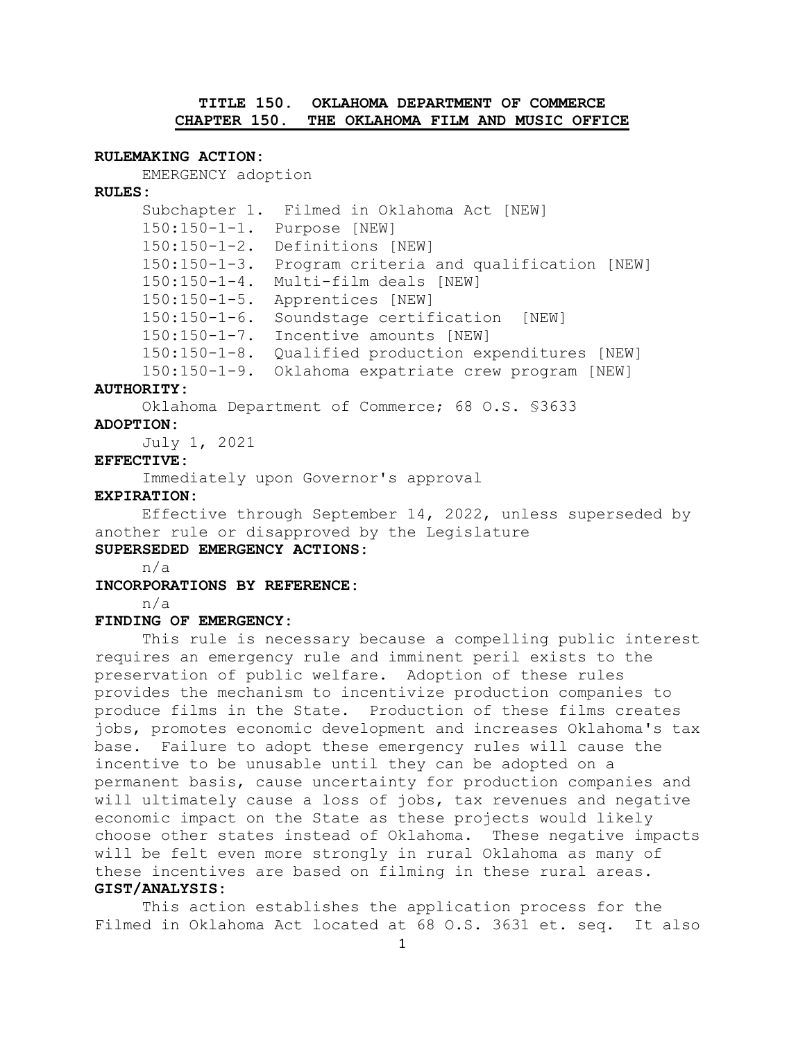# **TITLE 150. OKLAHOMA DEPARTMENT OF COMMERCE CHAPTER 150. THE OKLAHOMA FILM AND MUSIC OFFICE**

### **RULEMAKING ACTION:**

EMERGENCY adoption

#### **RULES:**

Subchapter 1. Filmed in Oklahoma Act [NEW] 150:150-1-1. Purpose [NEW] 150:150-1-2. Definitions [NEW] 150:150-1-3. Program criteria and qualification [NEW] 150:150-1-4. Multi-film deals [NEW] 150:150-1-5. Apprentices [NEW] 150:150-1-6. Soundstage certification [NEW] 150:150-1-7. Incentive amounts [NEW] 150:150-1-8. Qualified production expenditures [NEW] 150:150-1-9. Oklahoma expatriate crew program [NEW]

#### **AUTHORITY:**

Oklahoma Department of Commerce; 68 O.S. §3633

### **ADOPTION:**

July 1, 2021

### **EFFECTIVE:**

Immediately upon Governor's approval

#### **EXPIRATION:**

Effective through September 14, 2022, unless superseded by another rule or disapproved by the Legislature

# **SUPERSEDED EMERGENCY ACTIONS:**

n/a

**INCORPORATIONS BY REFERENCE:**

n/a

## **FINDING OF EMERGENCY:**

This rule is necessary because a compelling public interest requires an emergency rule and imminent peril exists to the preservation of public welfare. Adoption of these rules provides the mechanism to incentivize production companies to produce films in the State. Production of these films creates jobs, promotes economic development and increases Oklahoma's tax base. Failure to adopt these emergency rules will cause the incentive to be unusable until they can be adopted on a permanent basis, cause uncertainty for production companies and will ultimately cause a loss of jobs, tax revenues and negative economic impact on the State as these projects would likely choose other states instead of Oklahoma. These negative impacts will be felt even more strongly in rural Oklahoma as many of these incentives are based on filming in these rural areas. **GIST/ANALYSIS:**

This action establishes the application process for the Filmed in Oklahoma Act located at 68 O.S. 3631 et. seq. It also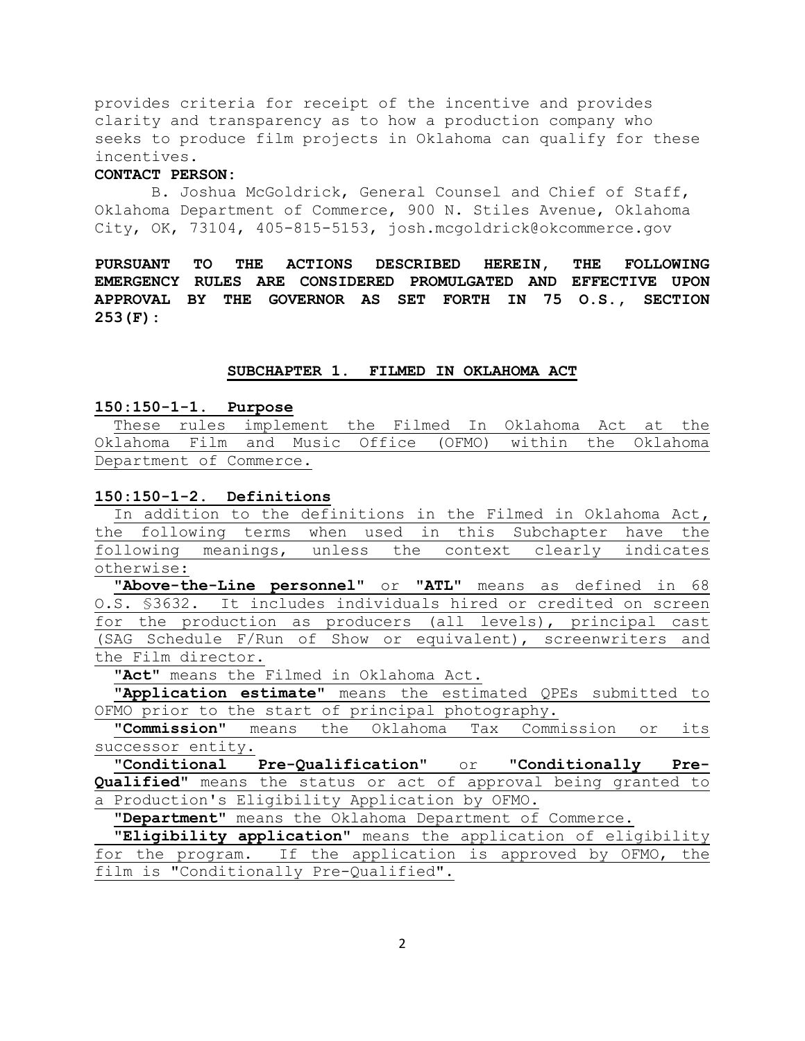provides criteria for receipt of the incentive and provides clarity and transparency as to how a production company who seeks to produce film projects in Oklahoma can qualify for these incentives.

### **CONTACT PERSON:**

B. Joshua McGoldrick, General Counsel and Chief of Staff, Oklahoma Department of Commerce, 900 N. Stiles Avenue, Oklahoma City, OK, 73104, 405-815-5153, josh.mcgoldrick@okcommerce.gov

**PURSUANT TO THE ACTIONS DESCRIBED HEREIN, THE FOLLOWING EMERGENCY RULES ARE CONSIDERED PROMULGATED AND EFFECTIVE UPON APPROVAL BY THE GOVERNOR AS SET FORTH IN 75 O.S., SECTION 253(F):**

#### **SUBCHAPTER 1. FILMED IN OKLAHOMA ACT**

**150:150-1-1. Purpose**

 These rules implement the Filmed In Oklahoma Act at the Oklahoma Film and Music Office (OFMO) within the Oklahoma Department of Commerce.

#### **150:150-1-2. Definitions**

In addition to the definitions in the Filmed in Oklahoma Act**,**  the following terms when used in this Subchapter have the following meanings, unless the context clearly indicates otherwise:

 **"Above-the-Line personnel"** or **"ATL"** means as defined in 68 O.S. §3632. It includes individuals hired or credited on screen for the production as producers (all levels), principal cast (SAG Schedule F/Run of Show or equivalent), screenwriters and the Film director.

 **"Act"** means the Filmed in Oklahoma Act.

 **"Application estimate"** means the estimated QPEs submitted to OFMO prior to the start of principal photography.

 **"Commission"** means the Oklahoma Tax Commission or its successor entity.

 **"Conditional Pre-Qualification"** or **"Conditionally Pre-Qualified"** means the status or act of approval being granted to a Production's Eligibility Application by OFMO.

 **"Department"** means the Oklahoma Department of Commerce.

 **"Eligibility application"** means the application of eligibility for the program. If the application is approved by OFMO, the film is "Conditionally Pre-Qualified".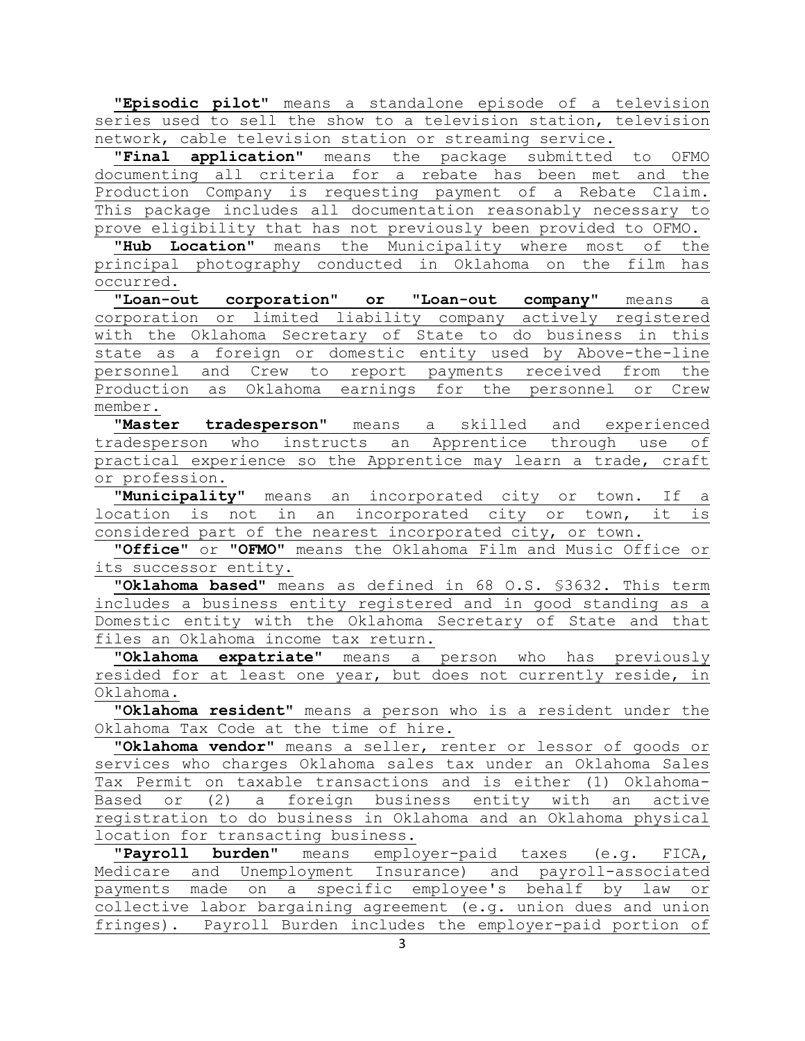"Episodic pilot" means a standalone episode of a television series used to sell the show to a television station, television network, cable television station or streaming service.

 **"Final application"** means the package submitted to OFMO documenting all criteria for a rebate has been met and the Production Company is requesting payment of a Rebate Claim. This package includes all documentation reasonably necessary to prove eligibility that has not previously been provided to OFMO.

 **"Hub Location"** means the Municipality where most of the principal photography conducted in Oklahoma on the film has occurred.

 **"Loan-out corporation" or "Loan-out company"** means a corporation or limited liability company actively registered with the Oklahoma Secretary of State to do business in this state as a foreign or domestic entity used by Above-the-line personnel and Crew to report payments received from the Production as Oklahoma earnings for the personnel or Crew member.

**"Master tradesperson"** means a skilled and experienced tradesperson who instructs an Apprentice through use of practical experience so the Apprentice may learn a trade, craft or profession.

 **"Municipality"** means an incorporated city or town. If a location is not in an incorporated city or town, it is considered part of the nearest incorporated city, or town.

 **"Office"** or **"OFMO**" means the Oklahoma Film and Music Office or its successor entity.

 **"Oklahoma based"** means as defined in 68 O.S. §3632. This term includes a business entity registered and in good standing as a Domestic entity with the Oklahoma Secretary of State and that files an Oklahoma income tax return.

 **"Oklahoma expatriate"** means a person who has previously resided for at least one year, but does not currently reside, in Oklahoma.

 **"Oklahoma resident"** means a person who is a resident under the Oklahoma Tax Code at the time of hire.

 **"Oklahoma vendor"** means a seller, renter or lessor of goods or services who charges Oklahoma sales tax under an Oklahoma Sales Tax Permit on taxable transactions and is either (1) Oklahoma-Based or (2) a foreign business entity with an active registration to do business in Oklahoma and an Oklahoma physical location for transacting business.

 **"Payroll burden"** means employer-paid taxes (e.g. FICA, Medicare and Unemployment Insurance) and payroll-associated payments made on a specific employee's behalf by law or collective labor bargaining agreement (e.g. union dues and union fringes). Payroll Burden includes the employer-paid portion of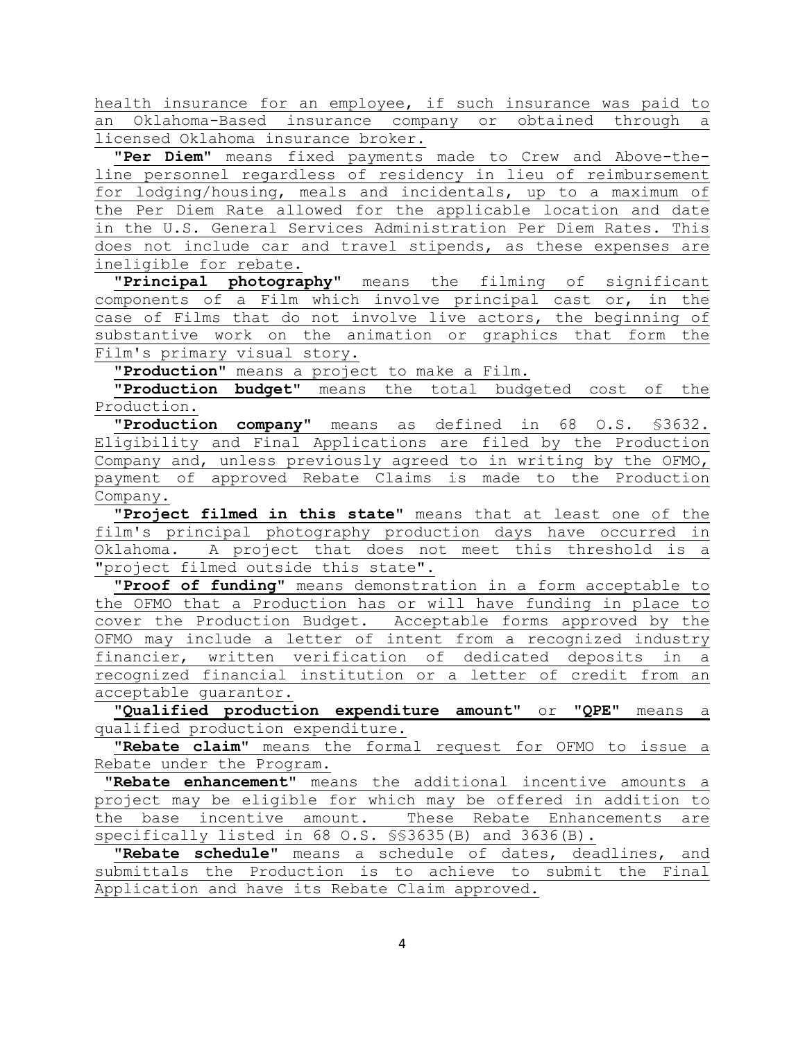health insurance for an employee, if such insurance was paid to an Oklahoma-Based insurance company or obtained through a licensed Oklahoma insurance broker.

 **"Per Diem"** means fixed payments made to Crew and Above-theline personnel regardless of residency in lieu of reimbursement for lodging/housing, meals and incidentals, up to a maximum of the Per Diem Rate allowed for the applicable location and date in the U.S. General Services Administration Per Diem Rates. This does not include car and travel stipends, as these expenses are ineligible for rebate.

 **"Principal photography"** means the filming of significant components of a Film which involve principal cast or, in the case of Films that do not involve live actors, the beginning of substantive work on the animation or graphics that form the Film's primary visual story.

 **"Production"** means a project to make a Film.

 **"Production budget"** means the total budgeted cost of the Production.

 **"Production company"** means as defined in 68 O.S. §3632. Eligibility and Final Applications are filed by the Production Company and, unless previously agreed to in writing by the OFMO, payment of approved Rebate Claims is made to the Production Company.

 **"Project filmed in this state"** means that at least one of the film's principal photography production days have occurred in Oklahoma. A project that does not meet this threshold is a "project filmed outside this state".

 **"Proof of funding"** means demonstration in a form acceptable to the OFMO that a Production has or will have funding in place to cover the Production Budget. Acceptable forms approved by the OFMO may include a letter of intent from a recognized industry financier, written verification of dedicated deposits in a recognized financial institution or a letter of credit from an acceptable guarantor.

 **"Qualified production expenditure amount"** or **"QPE"** means a qualified production expenditure.

 **"Rebate claim"** means the formal request for OFMO to issue a Rebate under the Program.

**"Rebate enhancement"** means the additional incentive amounts a project may be eligible for which may be offered in addition to the base incentive amount. These Rebate Enhancements are specifically listed in 68 O.S. §§3635(B) and 3636(B).

 **"Rebate schedule"** means a schedule of dates, deadlines, and submittals the Production is to achieve to submit the Final Application and have its Rebate Claim approved.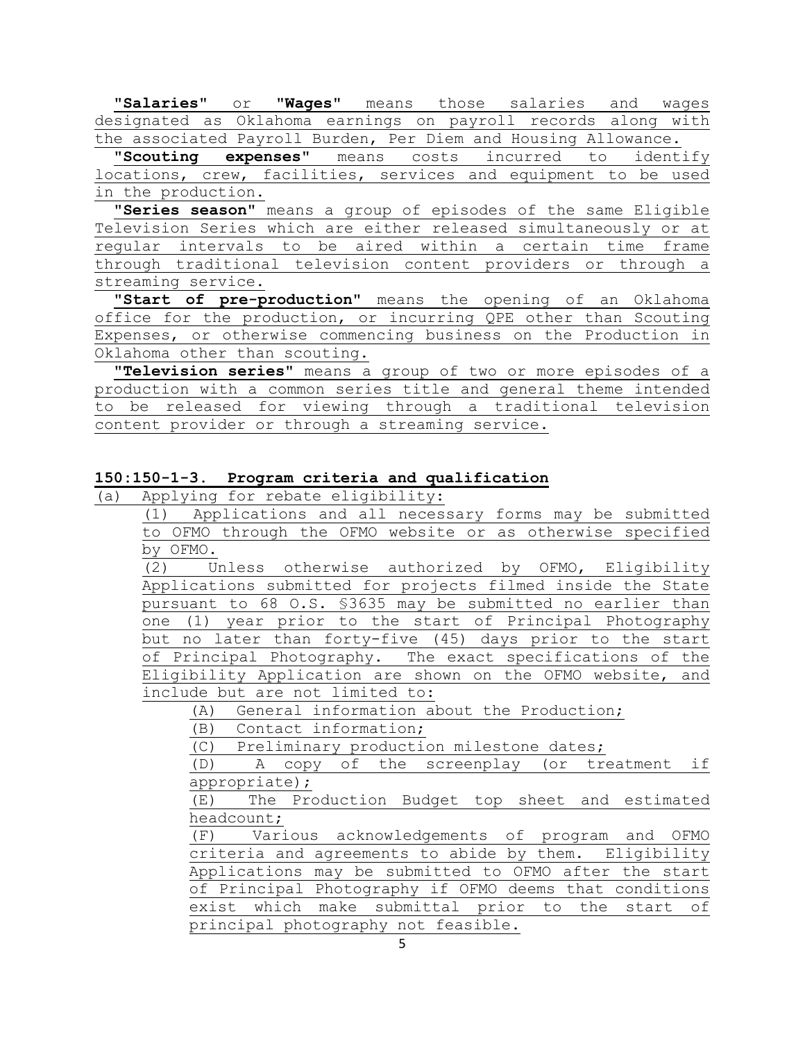**"Salaries"** or **"Wages"** means those salaries and wages designated as Oklahoma earnings on payroll records along with the associated Payroll Burden, Per Diem and Housing Allowance.

 **"Scouting expenses"** means costs incurred to identify locations, crew, facilities, services and equipment to be used in the production.

 **"Series season"** means a group of episodes of the same Eligible Television Series which are either released simultaneously or at regular intervals to be aired within a certain time frame through traditional television content providers or through a streaming service.

 **"Start of pre-production"** means the opening of an Oklahoma office for the production, or incurring QPE other than Scouting Expenses, or otherwise commencing business on the Production in Oklahoma other than scouting.

 **"Television series"** means a group of two or more episodes of a production with a common series title and general theme intended to be released for viewing through a traditional television content provider or through a streaming service.

## **150:150-1-3. Program criteria and qualification**

(a) Applying for rebate eligibility:

(1) Applications and all necessary forms may be submitted to OFMO through the OFMO website or as otherwise specified by OFMO.

(2) Unless otherwise authorized by OFMO, Eligibility Applications submitted for projects filmed inside the State pursuant to 68 O.S. §3635 may be submitted no earlier than one (1) year prior to the start of Principal Photography but no later than forty-five (45) days prior to the start of Principal Photography. The exact specifications of the Eligibility Application are shown on the OFMO website, and include but are not limited to:

(A) General information about the Production;

(B) Contact information;

(C) Preliminary production milestone dates;

(D) A copy of the screenplay (or treatment if appropriate);

(E) The Production Budget top sheet and estimated headcount;

(F) Various acknowledgements of program and OFMO criteria and agreements to abide by them. Eligibility Applications may be submitted to OFMO after the start of Principal Photography if OFMO deems that conditions exist which make submittal prior to the start of principal photography not feasible.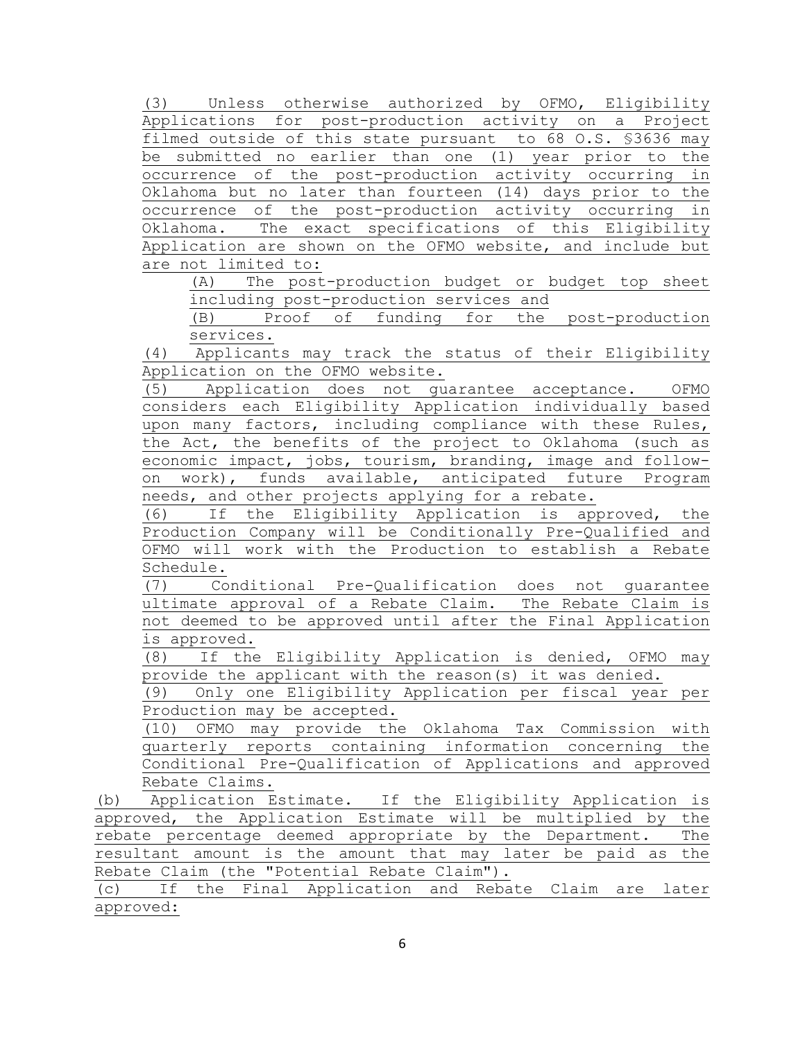(3) Unless otherwise authorized by OFMO, Eligibility Applications for post-production activity on a Project filmed outside of this state pursuant to 68 O.S. §3636 may be submitted no earlier than one (1) year prior to the occurrence of the post-production activity occurring in Oklahoma but no later than fourteen (14) days prior to the occurrence of the post-production activity occurring in Oklahoma. The exact specifications of this Eligibility Application are shown on the OFMO website, and include but are not limited to:

(A) The post-production budget or budget top sheet including post-production services and

(B) Proof of funding for the post-production services.

(4) Applicants may track the status of their Eligibility Application on the OFMO website.

(5) Application does not guarantee acceptance. OFMO considers each Eligibility Application individually based upon many factors, including compliance with these Rules, the Act, the benefits of the project to Oklahoma (such as economic impact, jobs, tourism, branding, image and followon work), funds available, anticipated future Program needs, and other projects applying for a rebate.

(6) If the Eligibility Application is approved, the Production Company will be Conditionally Pre-Qualified and OFMO will work with the Production to establish a Rebate Schedule.

(7) Conditional Pre-Qualification does not guarantee ultimate approval of a Rebate Claim. The Rebate Claim is not deemed to be approved until after the Final Application is approved.

(8) If the Eligibility Application is denied, OFMO may provide the applicant with the reason(s) it was denied.

(9) Only one Eligibility Application per fiscal year per Production may be accepted.

(10) OFMO may provide the Oklahoma Tax Commission with quarterly reports containing information concerning the Conditional Pre-Qualification of Applications and approved Rebate Claims.

(b) Application Estimate. If the Eligibility Application is approved, the Application Estimate will be multiplied by the rebate percentage deemed appropriate by the Department. The resultant amount is the amount that may later be paid as the Rebate Claim (the "Potential Rebate Claim").

(c) If the Final Application and Rebate Claim are later approved: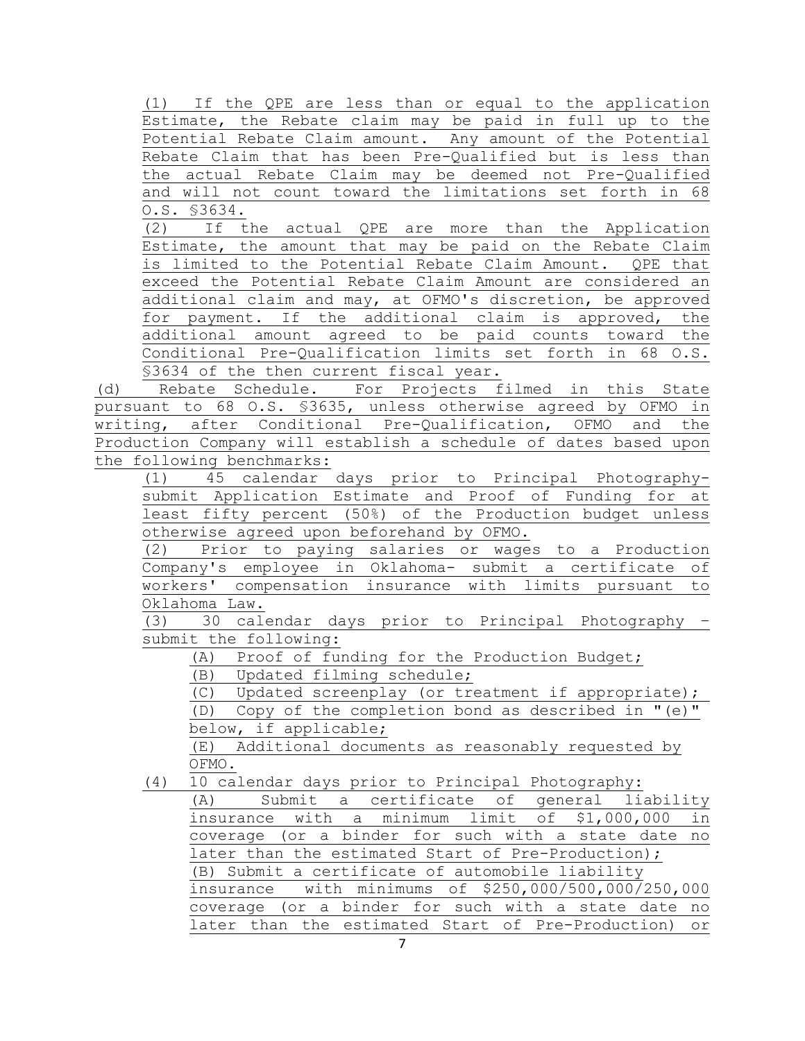(1) If the QPE are less than or equal to the application Estimate, the Rebate claim may be paid in full up to the Potential Rebate Claim amount. Any amount of the Potential Rebate Claim that has been Pre-Qualified but is less than the actual Rebate Claim may be deemed not Pre-Qualified and will not count toward the limitations set forth in 68  $\frac{0.5. \ \ \ $3634.}{(2)}$  If t

If the actual QPE are more than the Application Estimate, the amount that may be paid on the Rebate Claim is limited to the Potential Rebate Claim Amount. QPE that exceed the Potential Rebate Claim Amount are considered an additional claim and may, at OFMO's discretion, be approved for payment. If the additional claim is approved, the additional amount agreed to be paid counts toward the Conditional Pre-Qualification limits set forth in 68 O.S. §3634 of the then current fiscal year.

(d) Rebate Schedule. For Projects filmed in this State pursuant to 68 O.S. §3635, unless otherwise agreed by OFMO in writing, after Conditional Pre-Qualification, OFMO and the Production Company will establish a schedule of dates based upon the following benchmarks:

(1) 45 calendar days prior to Principal Photographysubmit Application Estimate and Proof of Funding for at least fifty percent (50%) of the Production budget unless otherwise agreed upon beforehand by OFMO.

(2) Prior to paying salaries or wages to a Production Company's employee in Oklahoma- submit a certificate of workers' compensation insurance with limits pursuant to Oklahoma Law.

(3) 30 calendar days prior to Principal Photography – submit the following:

(A) Proof of funding for the Production Budget;

(B) Updated filming schedule;

(C) Updated screenplay (or treatment if appropriate); (D) Copy of the completion bond as described in "(e)" below, if applicable;

(E) Additional documents as reasonably requested by OFMO.

(4) 10 calendar days prior to Principal Photography:

(A) Submit a certificate of general liability insurance with a minimum limit of \$1,000,000 in coverage (or a binder for such with a state date no later than the estimated Start of Pre-Production); (B) Submit a certificate of automobile liability insurance with minimums of \$250,000/500,000/250,000 coverage (or a binder for such with a state date no later than the estimated Start of Pre-Production) or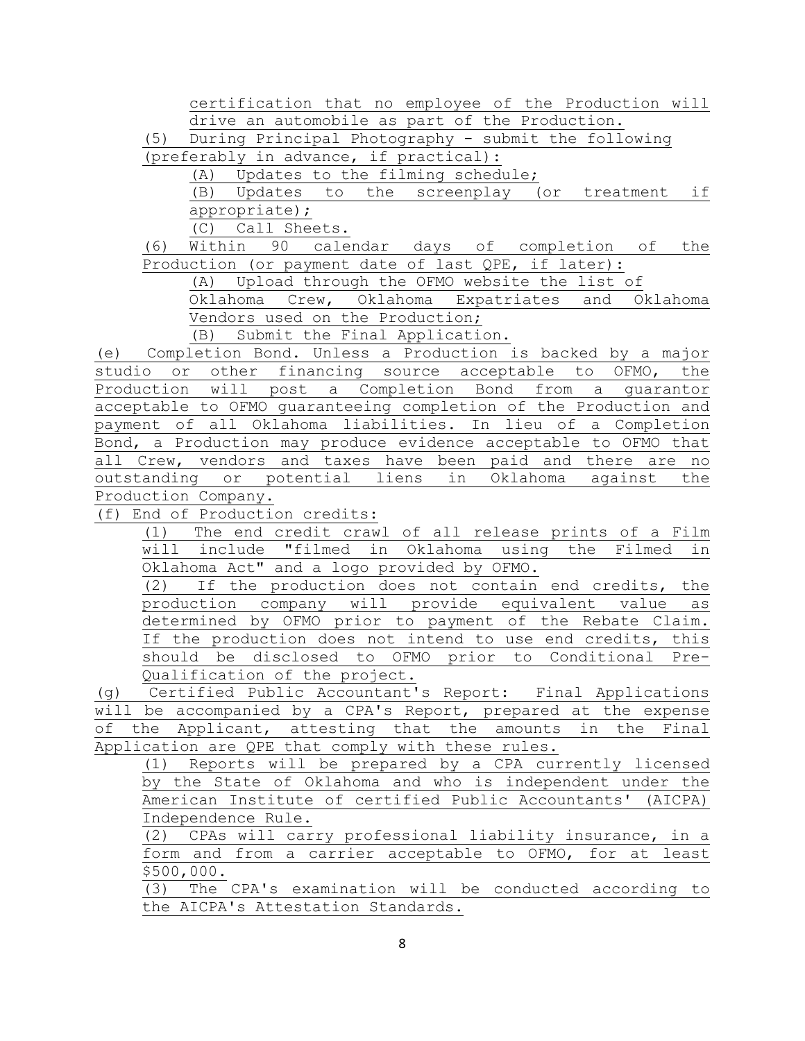certification that no employee of the Production will drive an automobile as part of the Production.

(5) During Principal Photography - submit the following (preferably in advance, if practical):

(A) Updates to the filming schedule;

(B) Updates to the screenplay (or treatment if appropriate);

(C) Call Sheets.

(6) Within 90 calendar days of completion of the Production (or payment date of last QPE, if later):

(A) Upload through the OFMO website the list of

Oklahoma Crew, Oklahoma Expatriates and Oklahoma Vendors used on the Production;

(B) Submit the Final Application.

(e) Completion Bond. Unless a Production is backed by a major studio or other financing source acceptable to OFMO, the Production will post a Completion Bond from a guarantor acceptable to OFMO guaranteeing completion of the Production and payment of all Oklahoma liabilities. In lieu of a Completion Bond, a Production may produce evidence acceptable to OFMO that all Crew, vendors and taxes have been paid and there are no outstanding or potential liens in Oklahoma against the Production Company.

(f) End of Production credits:

(1) The end credit crawl of all release prints of a Film will include "filmed in Oklahoma using the Filmed in Oklahoma Act" and a logo provided by OFMO.

(2) If the production does not contain end credits, the production company will provide equivalent value as determined by OFMO prior to payment of the Rebate Claim. If the production does not intend to use end credits, this should be disclosed to OFMO prior to Conditional Pre-Qualification of the project.

(g) Certified Public Accountant's Report: Final Applications will be accompanied by a CPA's Report, prepared at the expense of the Applicant, attesting that the amounts in the Final Application are QPE that comply with these rules.

(1) Reports will be prepared by a CPA currently licensed by the State of Oklahoma and who is independent under the American Institute of certified Public Accountants' (AICPA) Independence Rule.

(2) CPAs will carry professional liability insurance, in a form and from a carrier acceptable to OFMO, for at least \$500,000.

(3) The CPA's examination will be conducted according to the AICPA's Attestation Standards.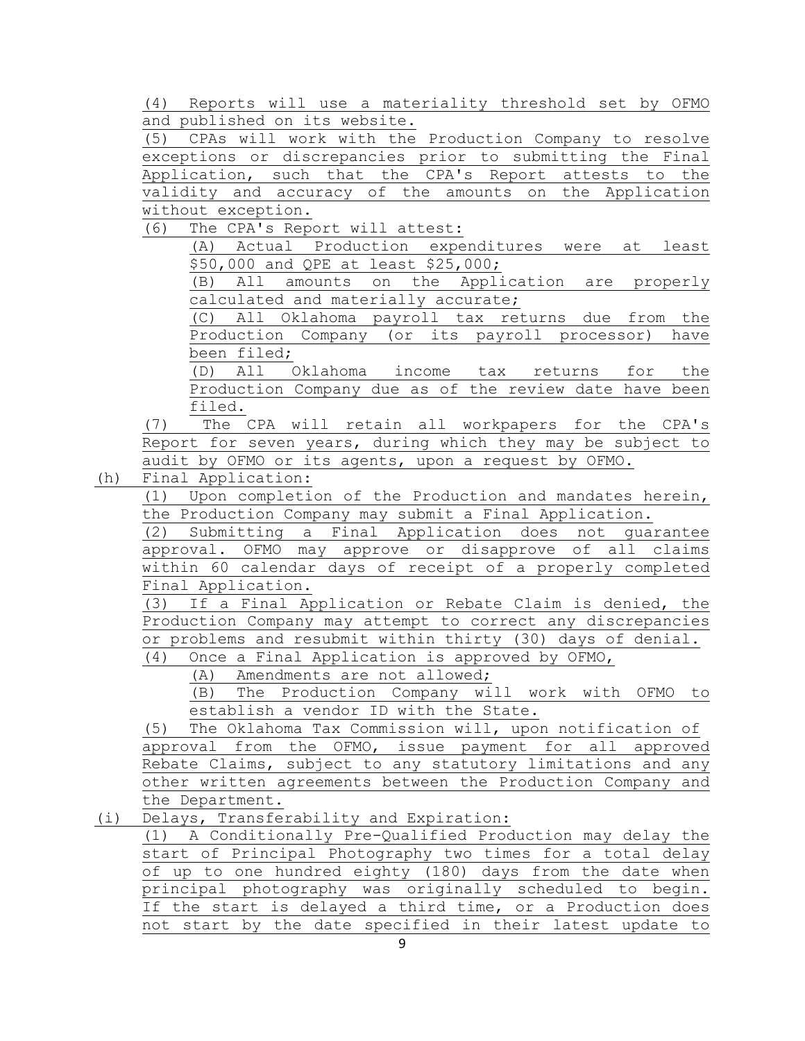(4) Reports will use a materiality threshold set by OFMO and published on its website.

(5) CPAs will work with the Production Company to resolve exceptions or discrepancies prior to submitting the Final Application, such that the CPA's Report attests to the validity and accuracy of the amounts on the Application without exception.<br>(6) The CPA's Repo

The CPA's Report will attest:

(A) Actual Production expenditures were at least \$50,000 and QPE at least \$25,000;

(B) All amounts on the Application are properly calculated and materially accurate;

(C) All Oklahoma payroll tax returns due from the Production Company (or its payroll processor) have been filed;

(D) All Oklahoma income tax returns for the Production Company due as of the review date have been filed.

(7) The CPA will retain all workpapers for the CPA's Report for seven years, during which they may be subject to audit by OFMO or its agents, upon a request by OFMO.

(h) Final Application:

(1) Upon completion of the Production and mandates herein, the Production Company may submit a Final Application.

(2) Submitting a Final Application does not guarantee approval. OFMO may approve or disapprove of all claims within 60 calendar days of receipt of a properly completed Final Application.

(3) If a Final Application or Rebate Claim is denied, the Production Company may attempt to correct any discrepancies or problems and resubmit within thirty (30) days of denial.

(4) Once a Final Application is approved by OFMO,

(A) Amendments are not allowed;

(B) The Production Company will work with OFMO to establish a vendor ID with the State.

(5) The Oklahoma Tax Commission will, upon notification of approval from the OFMO, issue payment for all approved Rebate Claims, subject to any statutory limitations and any other written agreements between the Production Company and the Department.

(i) Delays, Transferability and Expiration:

(1) A Conditionally Pre-Qualified Production may delay the start of Principal Photography two times for a total delay of up to one hundred eighty (180) days from the date when principal photography was originally scheduled to begin. If the start is delayed a third time, or a Production does not start by the date specified in their latest update to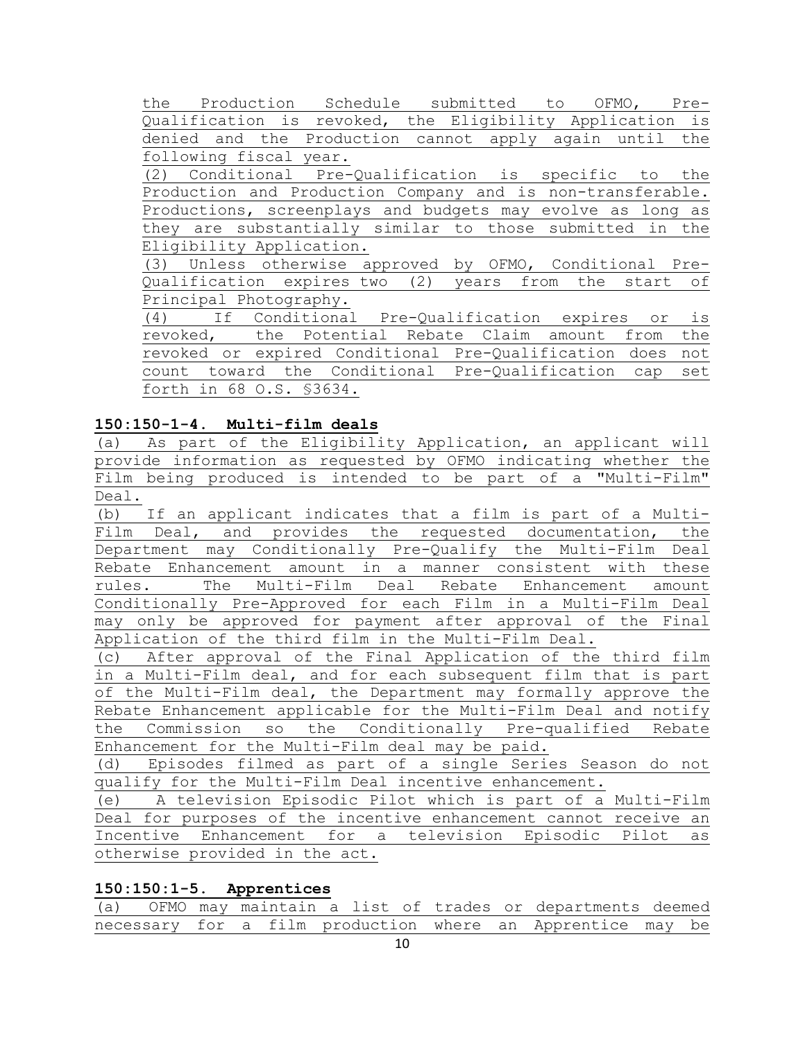the Production Schedule submitted to OFMO, Pre-Qualification is revoked, the Eligibility Application is denied and the Production cannot apply again until the following fiscal year. (2) Conditional Pre-Qualification is specific to the

Production and Production Company and is non-transferable. Productions, screenplays and budgets may evolve as long as they are substantially similar to those submitted in the Eligibility Application.

(3) Unless otherwise approved by OFMO, Conditional Pre-Qualification expires two (2) years from the start of

Principal Photography.<br>(4) If Conditional If Conditional Pre-Qualification expires or is revoked, the Potential Rebate Claim amount from the revoked or expired Conditional Pre-Qualification does not count toward the Conditional Pre-Qualification cap set forth in 68 O.S. §3634.

# **150:150-1-4. Multi-film deals**

(a) As part of the Eligibility Application, an applicant will provide information as requested by OFMO indicating whether the Film being produced is intended to be part of a "Multi-Film" Deal.

(b) If an applicant indicates that a film is part of a Multi-Film Deal, and provides the requested documentation, the Department may Conditionally Pre-Qualify the Multi-Film Deal Rebate Enhancement amount in a manner consistent with these rules. The Multi-Film Deal Rebate Enhancement amount Conditionally Pre-Approved for each Film in a Multi-Film Deal may only be approved for payment after approval of the Final Application of the third film in the Multi-Film Deal.

(c) After approval of the Final Application of the third film in a Multi-Film deal, and for each subsequent film that is part of the Multi-Film deal, the Department may formally approve the Rebate Enhancement applicable for the Multi-Film Deal and notify the Commission so the Conditionally Pre-qualified Rebate Enhancement for the Multi-Film deal may be paid.

(d) Episodes filmed as part of a single Series Season do not qualify for the Multi-Film Deal incentive enhancement.

(e) A television Episodic Pilot which is part of a Multi-Film Deal for purposes of the incentive enhancement cannot receive an Incentive Enhancement for a television Episodic Pilot as otherwise provided in the act.

# **150:150:1-5. Apprentices**

(a) OFMO may maintain a list of trades or departments deemed necessary for a film production where an Apprentice may be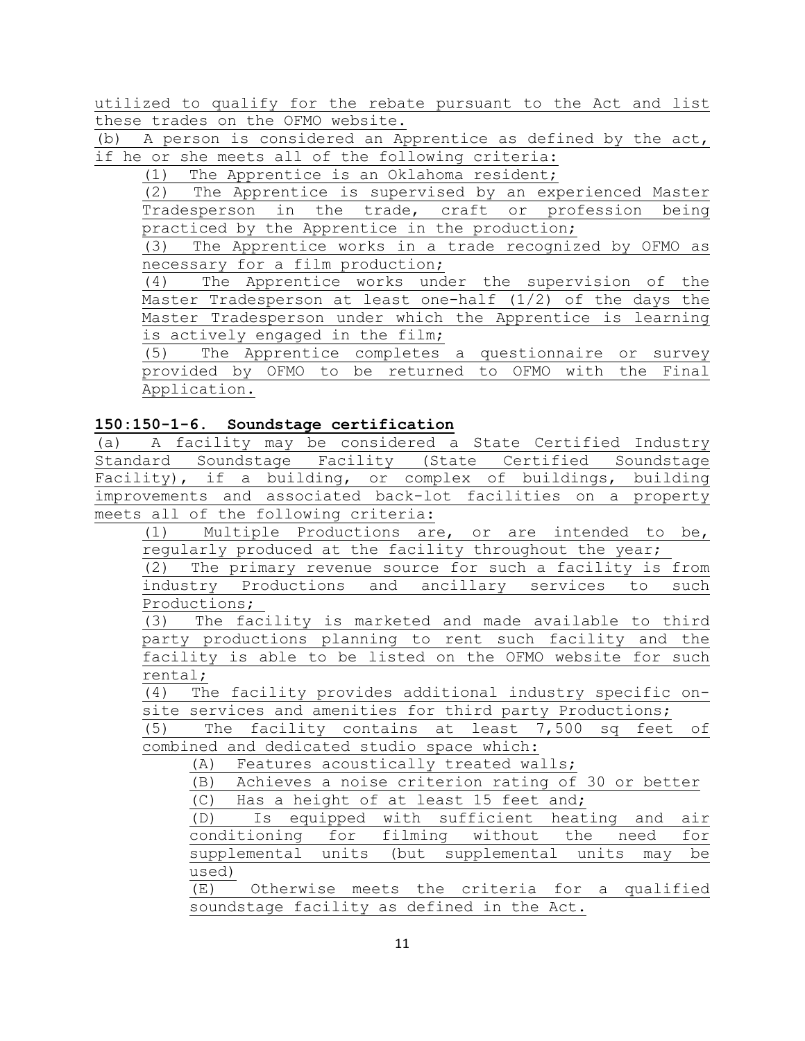utilized to qualify for the rebate pursuant to the Act and list these trades on the OFMO website.

(b) A person is considered an Apprentice as defined by the act, if he or she meets all of the following criteria:

(1) The Apprentice is an Oklahoma resident;

(2) The Apprentice is supervised by an experienced Master Tradesperson in the trade, craft or profession being practiced by the Apprentice in the production;

The Apprentice works in a trade recognized by OFMO as necessary for a film production;

(4) The Apprentice works under the supervision of the Master Tradesperson at least one-half (1/2) of the days the Master Tradesperson under which the Apprentice is learning is actively engaged in the film;

(5) The Apprentice completes a questionnaire or survey provided by OFMO to be returned to OFMO with the Final Application.

## **150:150-1-6. Soundstage certification**

(a) A facility may be considered a State Certified Industry Standard Soundstage Facility (State Certified Soundstage Facility), if a building, or complex of buildings, building improvements and associated back-lot facilities on a property meets all of the following criteria:

(1) Multiple Productions are, or are intended to be, regularly produced at the facility throughout the year;

(2) The primary revenue source for such a facility is from industry Productions and ancillary services to such Productions;

(3) The facility is marketed and made available to third party productions planning to rent such facility and the facility is able to be listed on the OFMO website for such rental;

(4) The facility provides additional industry specific onsite services and amenities for third party Productions;

(5) The facility contains at least 7,500 sq feet of combined and dedicated studio space which:

(A) Features acoustically treated walls;

(B) Achieves a noise criterion rating of 30 or better (C) Has a height of at least 15 feet and;

(D) Is equipped with sufficient heating and air conditioning for filming without the need for supplemental units (but supplemental units may be used)

(E) Otherwise meets the criteria for a qualified soundstage facility as defined in the Act.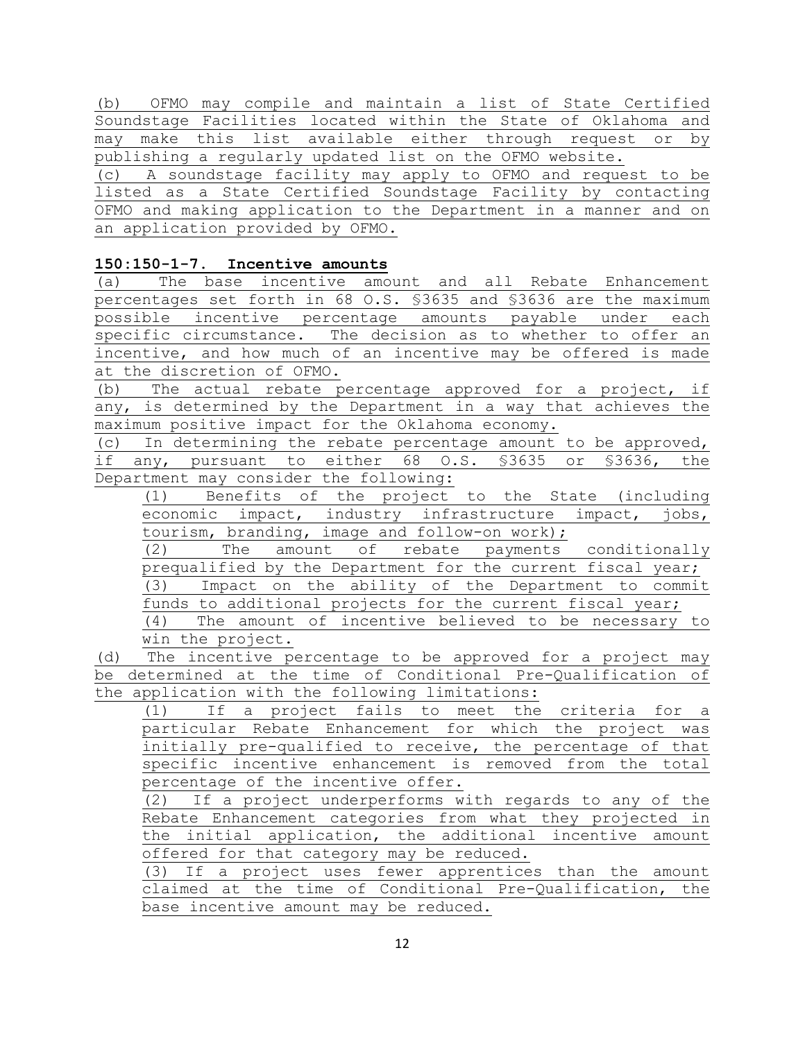(b) OFMO may compile and maintain a list of State Certified Soundstage Facilities located within the State of Oklahoma and may make this list available either through request or by publishing a regularly updated list on the OFMO website.

(c) A soundstage facility may apply to OFMO and request to be listed as a State Certified Soundstage Facility by contacting OFMO and making application to the Department in a manner and on an application provided by OFMO.

# **150:150-1-7. Incentive amounts**

(a) The base incentive amount and all Rebate Enhancement percentages set forth in 68 O.S. §3635 and §3636 are the maximum possible incentive percentage amounts payable under each specific circumstance. The decision as to whether to offer an incentive, and how much of an incentive may be offered is made at the discretion of OFMO.

(b) The actual rebate percentage approved for a project, if any, is determined by the Department in a way that achieves the maximum positive impact for the Oklahoma economy.

(c) In determining the rebate percentage amount to be approved, if any, pursuant to either 68 O.S. §3635 or §3636, the Department may consider the following:

(1) Benefits of the project to the State (including economic impact, industry infrastructure impact, jobs, tourism, branding, image and follow-on work);<br>(2) The amount of rebate payments

The amount of rebate payments conditionally prequalified by the Department for the current fiscal year;

(3) Impact on the ability of the Department to commit funds to additional projects for the current fiscal year;

(4) The amount of incentive believed to be necessary to win the project.

(d) The incentive percentage to be approved for a project may be determined at the time of Conditional Pre-Qualification of the application with the following limitations:

(1) If a project fails to meet the criteria for a particular Rebate Enhancement for which the project was initially pre-qualified to receive, the percentage of that specific incentive enhancement is removed from the total percentage of the incentive offer.

(2) If a project underperforms with regards to any of the Rebate Enhancement categories from what they projected in the initial application, the additional incentive amount offered for that category may be reduced.

(3) If a project uses fewer apprentices than the amount claimed at the time of Conditional Pre-Qualification, the base incentive amount may be reduced.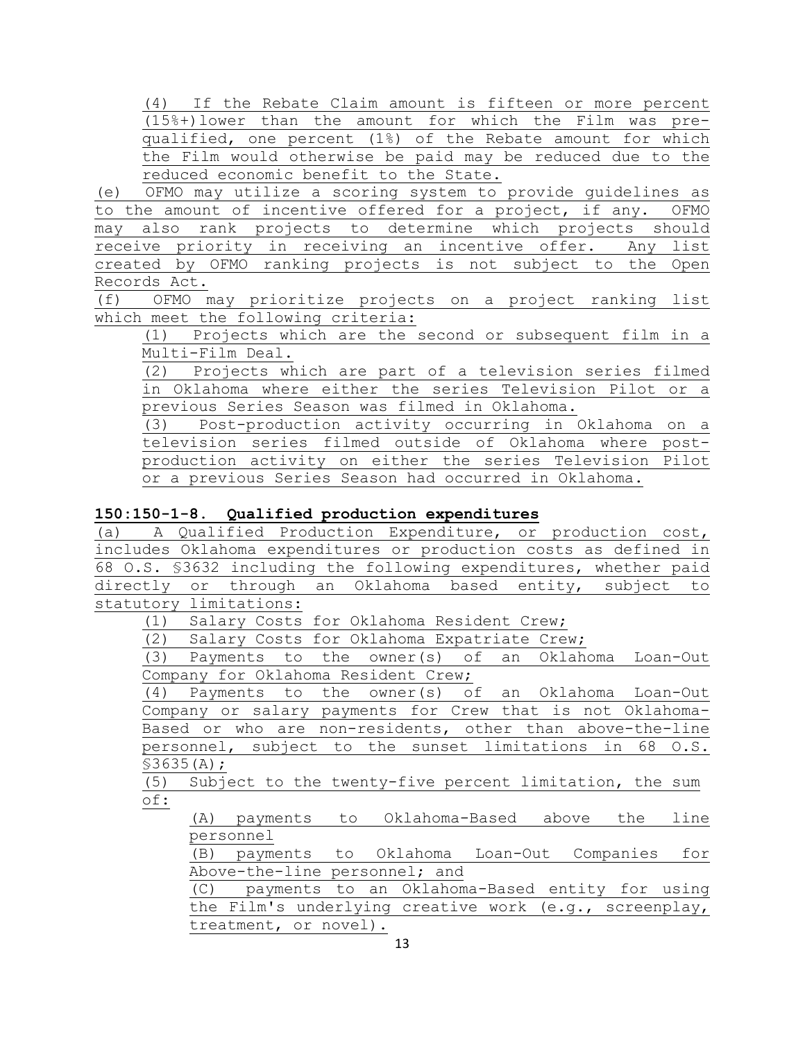(4) If the Rebate Claim amount is fifteen or more percent (15%+)lower than the amount for which the Film was prequalified, one percent (1%) of the Rebate amount for which the Film would otherwise be paid may be reduced due to the reduced economic benefit to the State.

(e) OFMO may utilize a scoring system to provide guidelines as<br>to the amount of incentive offered for a project, if any. OFMO to the amount of incentive offered for a project, if any. may also rank projects to determine which projects should receive priority in receiving an incentive offer. Any list created by OFMO ranking projects is not subject to the Open Records Act.

(f) OFMO may prioritize projects on a project ranking list which meet the following criteria:

(1) Projects which are the second or subsequent film in a Multi-Film Deal.

(2) Projects which are part of a television series filmed in Oklahoma where either the series Television Pilot or a previous Series Season was filmed in Oklahoma.

(3) Post-production activity occurring in Oklahoma on a television series filmed outside of Oklahoma where postproduction activity on either the series Television Pilot or a previous Series Season had occurred in Oklahoma.

## **150:150-1-8. Qualified production expenditures**

(a) A Qualified Production Expenditure, or production cost, includes Oklahoma expenditures or production costs as defined in 68 O.S. §3632 including the following expenditures, whether paid directly or through an Oklahoma based entity, subject to statutory limitations:

(1) Salary Costs for Oklahoma Resident Crew;

(2) Salary Costs for Oklahoma Expatriate Crew;

(3) Payments to the owner(s) of an Oklahoma Loan-Out Company for Oklahoma Resident Crew;<br>(4) Payments to the owner(s) of

Payments to the owner(s) of an Oklahoma Loan-Out Company or salary payments for Crew that is not Oklahoma-Based or who are non-residents, other than above-the-line personnel, subject to the sunset limitations in 68 O.S. §3635(A);

(5) Subject to the twenty-five percent limitation, the sum of:

(A) payments to Oklahoma-Based above the line personnel

(B) payments to Oklahoma Loan-Out Companies for Above-the-line personnel; and

(C) payments to an Oklahoma-Based entity for using the Film's underlying creative work (e.g., screenplay, treatment, or novel).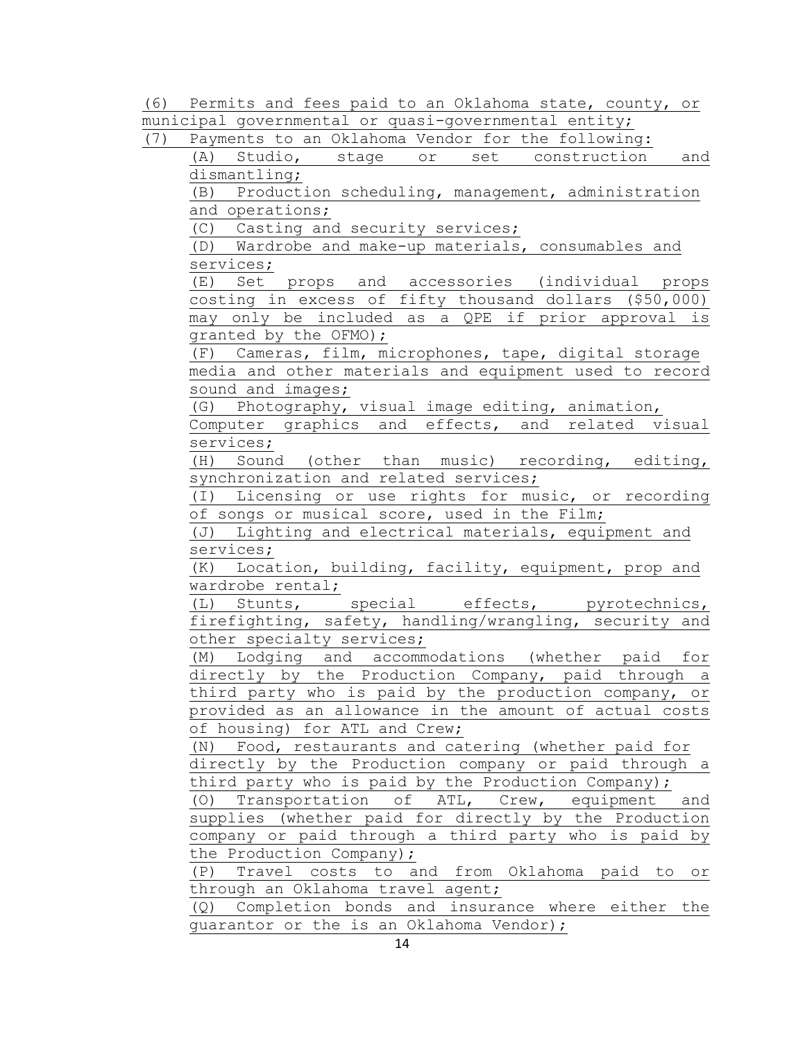(6) Permits and fees paid to an Oklahoma state, county, or municipal governmental or quasi-governmental entity;

(7) Payments to an Oklahoma Vendor for the following:

(A) Studio, stage or set construction and dismantling;

(B) Production scheduling, management, administration and operations;

(C) Casting and security services;

(D) Wardrobe and make-up materials, consumables and services;

(E) Set props and accessories (individual props costing in excess of fifty thousand dollars (\$50,000) may only be included as a QPE if prior approval is granted by the OFMO);

(F) Cameras, film, microphones, tape, digital storage media and other materials and equipment used to record sound and images;

(G) Photography, visual image editing, animation,

Computer graphics and effects, and related visual services;

(H) Sound (other than music) recording, editing, synchronization and related services;

(I) Licensing or use rights for music, or recording of songs or musical score, used in the Film;

(J) Lighting and electrical materials, equipment and services;

(K) Location, building, facility, equipment, prop and wardrobe rental;

(L) Stunts, special effects, pyrotechnics, firefighting, safety, handling/wrangling, security and other specialty services;

(M) Lodging and accommodations (whether paid for directly by the Production Company, paid through a third party who is paid by the production company, or provided as an allowance in the amount of actual costs of housing) for ATL and Crew;

(N) Food, restaurants and catering (whether paid for directly by the Production company or paid through a third party who is paid by the Production Company);

(O) Transportation of ATL, Crew, equipment and supplies (whether paid for directly by the Production company or paid through a third party who is paid by the Production Company);

(P) Travel costs to and from Oklahoma paid to or through an Oklahoma travel agent;

(Q) Completion bonds and insurance where either the guarantor or the is an Oklahoma Vendor);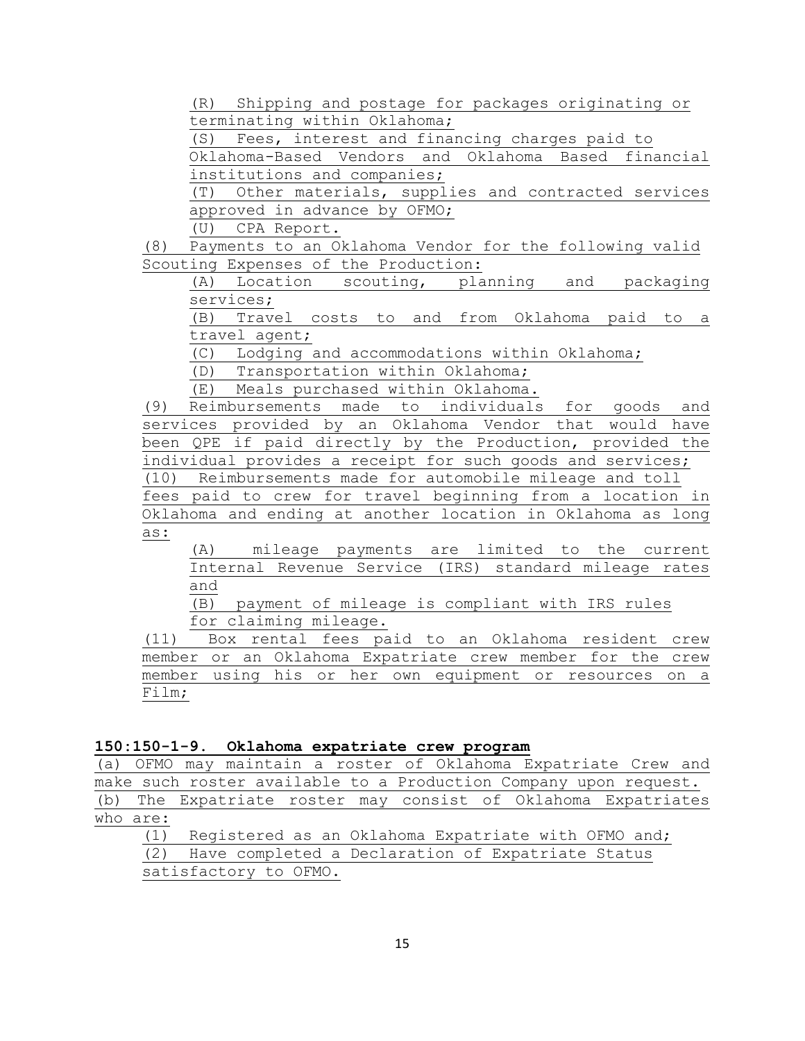(R) Shipping and postage for packages originating or terminating within Oklahoma;

(S) Fees, interest and financing charges paid to Oklahoma-Based Vendors and Oklahoma Based financial institutions and companies;

(T) Other materials, supplies and contracted services approved in advance by OFMO;

(U) CPA Report.

Payments to an Oklahoma Vendor for the following valid Scouting Expenses of the Production:

(A) Location scouting, planning and packaging services;

(B) Travel costs to and from Oklahoma paid to a travel agent;

(C) Lodging and accommodations within Oklahoma;

(D) Transportation within Oklahoma;

(E) Meals purchased within Oklahoma.

(9) Reimbursements made to individuals for goods and services provided by an Oklahoma Vendor that would have been QPE if paid directly by the Production, provided the individual provides a receipt for such goods and services; (10) Reimbursements made for automobile mileage and toll

fees paid to crew for travel beginning from a location in Oklahoma and ending at another location in Oklahoma as long as:

(A) mileage payments are limited to the current Internal Revenue Service (IRS) standard mileage rates and

(B) payment of mileage is compliant with IRS rules for claiming mileage.

(11) Box rental fees paid to an Oklahoma resident crew member or an Oklahoma Expatriate crew member for the crew member using his or her own equipment or resources on a Film;

### **150:150-1-9. Oklahoma expatriate crew program**

(a) OFMO may maintain a roster of Oklahoma Expatriate Crew and make such roster available to a Production Company upon request. (b) The Expatriate roster may consist of Oklahoma Expatriates who are:

(1) Registered as an Oklahoma Expatriate with OFMO and; (2) Have completed a Declaration of Expatriate Status

satisfactory to OFMO.